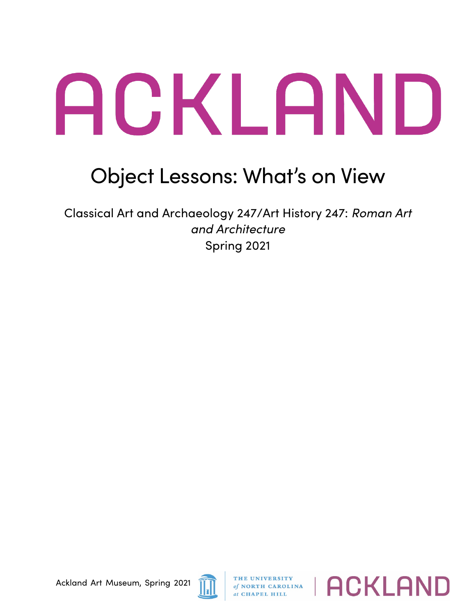## ACKLAND

## Object Lessons: What's on View

Classical Art and Archaeology 247/Art History 247: *Roman Art and Architecture* Spring 2021



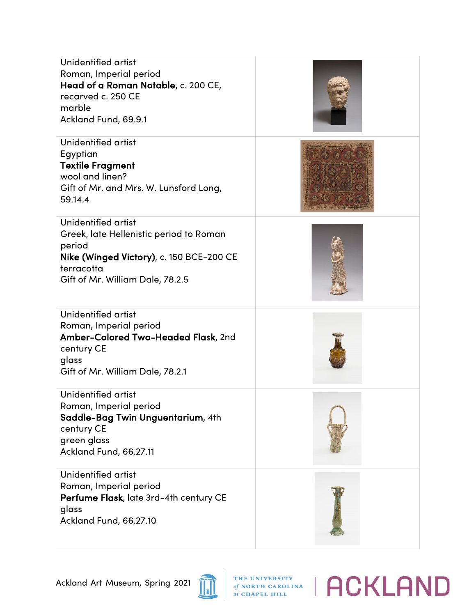| Unidentified artist<br>Roman, Imperial period<br>Head of a Roman Notable, c. 200 CE,<br>recarved c. 250 CE<br>marble<br>Ackland Fund, 69.9.1                           |  |
|------------------------------------------------------------------------------------------------------------------------------------------------------------------------|--|
| Unidentified artist<br>Egyptian<br><b>Textile Fragment</b><br>wool and linen?<br>Gift of Mr. and Mrs. W. Lunsford Long,<br>59.14.4                                     |  |
| Unidentified artist<br>Greek, late Hellenistic period to Roman<br>period<br>Nike (Winged Victory), c. 150 BCE-200 CE<br>terracotta<br>Gift of Mr. William Dale, 78.2.5 |  |
| Unidentified artist<br>Roman, Imperial period<br>Amber-Colored Two-Headed Flask, 2nd<br>century CE<br>glass<br>Gift of Mr. William Dale, 78.2.1                        |  |
| Unidentified artist<br>Roman, Imperial period<br>Saddle-Bag Twin Unguentarium, 4th<br>century CE<br>green glass<br>Ackland Fund, 66.27.11                              |  |
| Unidentified artist<br>Roman, Imperial period<br>Perfume Flask, late 3rd-4th century CE<br>glass<br>Ackland Fund, 66.27.10                                             |  |



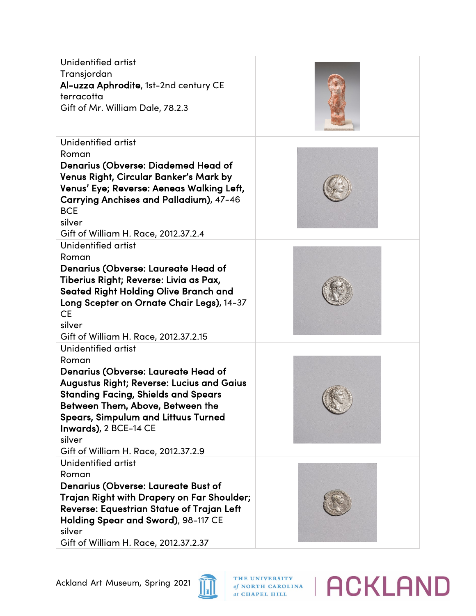| Unidentified artist<br>Transjordan<br>Al-uzza Aphrodite, 1st-2nd century CE<br>terracotta<br>Gift of Mr. William Dale, 78.2.3                                                                                                                                                                                                             |  |
|-------------------------------------------------------------------------------------------------------------------------------------------------------------------------------------------------------------------------------------------------------------------------------------------------------------------------------------------|--|
| Unidentified artist<br>Roman<br><b>Denarius (Obverse: Diademed Head of</b><br>Venus Right, Circular Banker's Mark by<br>Venus' Eye; Reverse: Aeneas Walking Left,<br>Carrying Anchises and Palladium), 47-46<br><b>BCE</b><br>silver<br>Gift of William H. Race, 2012.37.2.4                                                              |  |
| Unidentified artist<br>Roman<br>Denarius (Obverse: Laureate Head of<br>Tiberius Right; Reverse: Livia as Pax,<br><b>Seated Right Holding Olive Branch and</b><br>Long Scepter on Ornate Chair Legs), 14-37<br><b>CE</b><br>silver<br>Gift of William H. Race, 2012.37.2.15                                                                |  |
| Unidentified artist<br>Roman<br><b>Denarius (Obverse: Laureate Head of</b><br><b>Augustus Right; Reverse: Lucius and Gaius</b><br><b>Standing Facing, Shields and Spears</b><br>Between Them, Above, Between the<br><b>Spears, Simpulum and Littuus Turned</b><br>Inwards), 2 BCE-14 CE<br>silver<br>Gift of William H. Race, 2012.37.2.9 |  |
| Unidentified artist<br>Roman<br><b>Denarius (Obverse: Laureate Bust of</b><br>Trajan Right with Drapery on Far Shoulder;<br>Reverse: Equestrian Statue of Trajan Left<br>Holding Spear and Sword), 98-117 CE<br>silver<br>Gift of William H. Race, 2012.37.2.37                                                                           |  |



THE UNIVERSITY of NORTH CAROLINA | ACKLAND